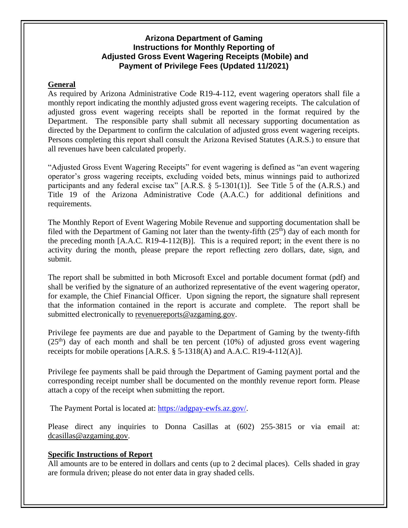# **Arizona Department of Gaming Instructions for Monthly Reporting of Adjusted Gross Event Wagering Receipts (Mobile) and Payment of Privilege Fees (Updated 11/2021)**

### **General**

As required by Arizona Administrative Code R19-4-112, event wagering operators shall file a monthly report indicating the monthly adjusted gross event wagering receipts. The calculation of adjusted gross event wagering receipts shall be reported in the format required by the Department. The responsible party shall submit all necessary supporting documentation as directed by the Department to confirm the calculation of adjusted gross event wagering receipts. Persons completing this report shall consult the Arizona Revised Statutes (A.R.S.) to ensure that all revenues have been calculated properly.

"Adjusted Gross Event Wagering Receipts" for event wagering is defined as "an event wagering operator's gross wagering receipts, excluding voided bets, minus winnings paid to authorized participants and any federal excise tax" [A.R.S. § 5-1301(1)]. See Title 5 of the (A.R.S.) and Title 19 of the Arizona Administrative Code (A.A.C.) for additional definitions and requirements.

The Monthly Report of Event Wagering Mobile Revenue and supporting documentation shall be filed with the Department of Gaming not later than the twenty-fifth  $(25<sup>th</sup>)$  day of each month for the preceding month [A.A.C. R19-4-112(B)]. This is a required report; in the event there is no activity during the month, please prepare the report reflecting zero dollars, date, sign, and submit.

The report shall be submitted in both Microsoft Excel and portable document format (pdf) and shall be verified by the signature of an authorized representative of the event wagering operator, for example, the Chief Financial Officer. Upon signing the report, the signature shall represent that the information contained in the report is accurate and complete. The report shall be submitted electronically to [revenuereports@azgaming.gov.](mailto:revenuereports@azgaming.gov)

Privilege fee payments are due and payable to the Department of Gaming by the twenty-fifth  $(25<sup>th</sup>)$  day of each month and shall be ten percent (10%) of adjusted gross event wagering receipts for mobile operations  $[A,R.S. \$ § 5-1318 $(A)$  and A.A.C. R19-4-112 $(A)$ ].

Privilege fee payments shall be paid through the Department of Gaming payment portal and the corresponding receipt number shall be documented on the monthly revenue report form. Please attach a copy of the receipt when submitting the report.

The Payment Portal is located at: [https://adgpay-ewfs.az.gov/.](https://adgpay-ewfs.az.gov/)

Please direct any inquiries to Donna Casillas at (602) 255-3815 or via email at: [dcasillas@azgaming.gov.](mailto:dcasillas@azgaming.gov)

### **Specific Instructions of Report**

All amounts are to be entered in dollars and cents (up to 2 decimal places). Cells shaded in gray are formula driven; please do not enter data in gray shaded cells.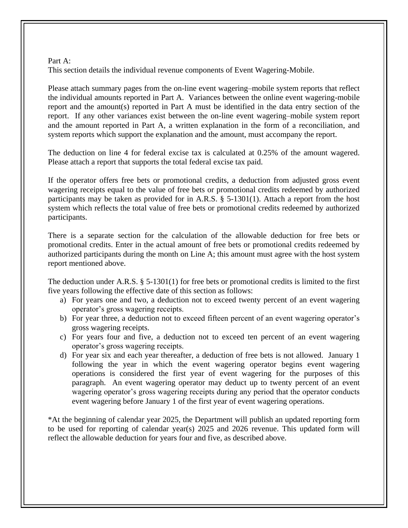#### Part A:

This section details the individual revenue components of Event Wagering-Mobile.

Please attach summary pages from the on-line event wagering–mobile system reports that reflect the individual amounts reported in Part A. Variances between the online event wagering-mobile report and the amount(s) reported in Part A must be identified in the data entry section of the report. If any other variances exist between the on-line event wagering–mobile system report and the amount reported in Part A, a written explanation in the form of a reconciliation, and system reports which support the explanation and the amount, must accompany the report.

The deduction on line 4 for federal excise tax is calculated at 0.25% of the amount wagered. Please attach a report that supports the total federal excise tax paid.

If the operator offers free bets or promotional credits, a deduction from adjusted gross event wagering receipts equal to the value of free bets or promotional credits redeemed by authorized participants may be taken as provided for in A.R.S. § 5-1301(1). Attach a report from the host system which reflects the total value of free bets or promotional credits redeemed by authorized participants.

There is a separate section for the calculation of the allowable deduction for free bets or promotional credits. Enter in the actual amount of free bets or promotional credits redeemed by authorized participants during the month on Line A; this amount must agree with the host system report mentioned above.

The deduction under A.R.S. § 5-1301(1) for free bets or promotional credits is limited to the first five years following the effective date of this section as follows:

- a) For years one and two, a deduction not to exceed twenty percent of an event wagering operator's gross wagering receipts.
- b) For year three, a deduction not to exceed fifteen percent of an event wagering operator's gross wagering receipts.
- c) For years four and five, a deduction not to exceed ten percent of an event wagering operator's gross wagering receipts.
- d) For year six and each year thereafter, a deduction of free bets is not allowed. January 1 following the year in which the event wagering operator begins event wagering operations is considered the first year of event wagering for the purposes of this paragraph. An event wagering operator may deduct up to twenty percent of an event wagering operator's gross wagering receipts during any period that the operator conducts event wagering before January 1 of the first year of event wagering operations.

\*At the beginning of calendar year 2025, the Department will publish an updated reporting form to be used for reporting of calendar year(s) 2025 and 2026 revenue. This updated form will reflect the allowable deduction for years four and five, as described above.